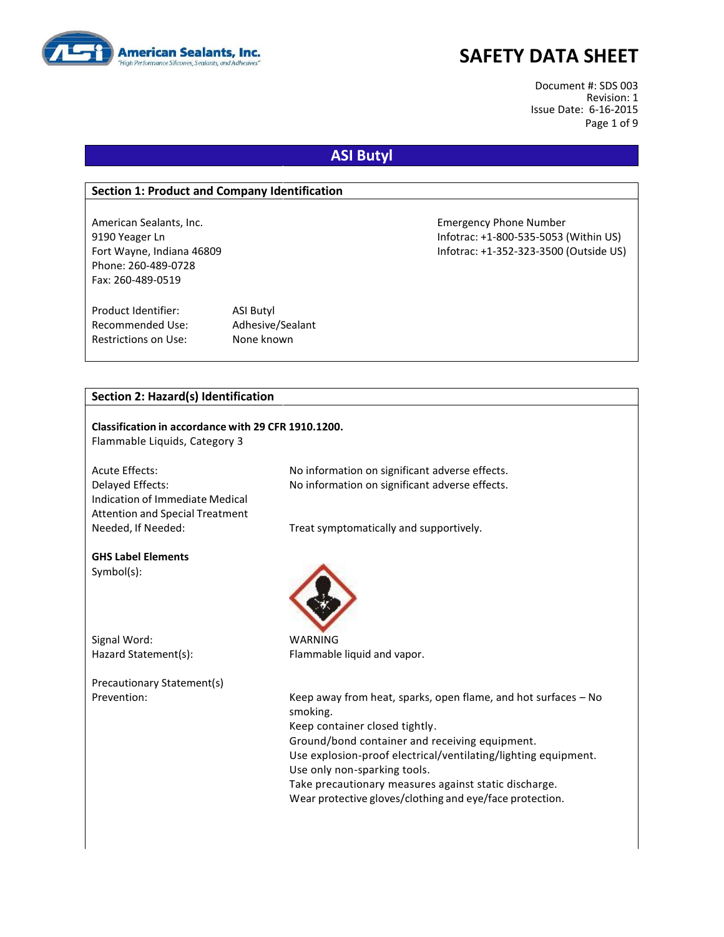

Document #: SDS 003 Revision: 1 Issue Date: 6-16-2015 Page 1 of 9

### **ASI Butyl**

#### **Section 1: Product and Company Identification**

American Sealants, Inc. **Emergency Phone Number** Emergency Phone Number Phone: 260-489-0728 Fax: 260-489-0519

Product Identifier: ASI Butyl Recommended Use: Adhesive/Sealant Restrictions on Use: None known

9190 Yeager Ln Infotrac: +1-800-535-5053 (Within US) Fort Wayne, Indiana 46809 Infotrac: +1-352-323-3500 (Outside US)

### **Section 2: Hazard(s) Identification**

# **Classification in accordance with 29 CFR 1910.1200.** Flammable Liquids, Category 3 Acute Effects: No information on significant adverse effects.

Indication of Immediate Medical Attention and Special Treatment

Delayed Effects: No information on significant adverse effects.

Needed, If Needed: Treat symptomatically and supportively.

#### **GHS Label Elements** Symbol(s):

Signal Word: WARNING

Precautionary Statement(s)



Hazard Statement(s): Flammable liquid and vapor.

Prevention: Keep away from heat, sparks, open flame, and hot surfaces – No smoking. Keep container closed tightly. Ground/bond container and receiving equipment. Use explosion-proof electrical/ventilating/lighting equipment. Use only non-sparking tools.

Take precautionary measures against static discharge. Wear protective gloves/clothing and eye/face protection.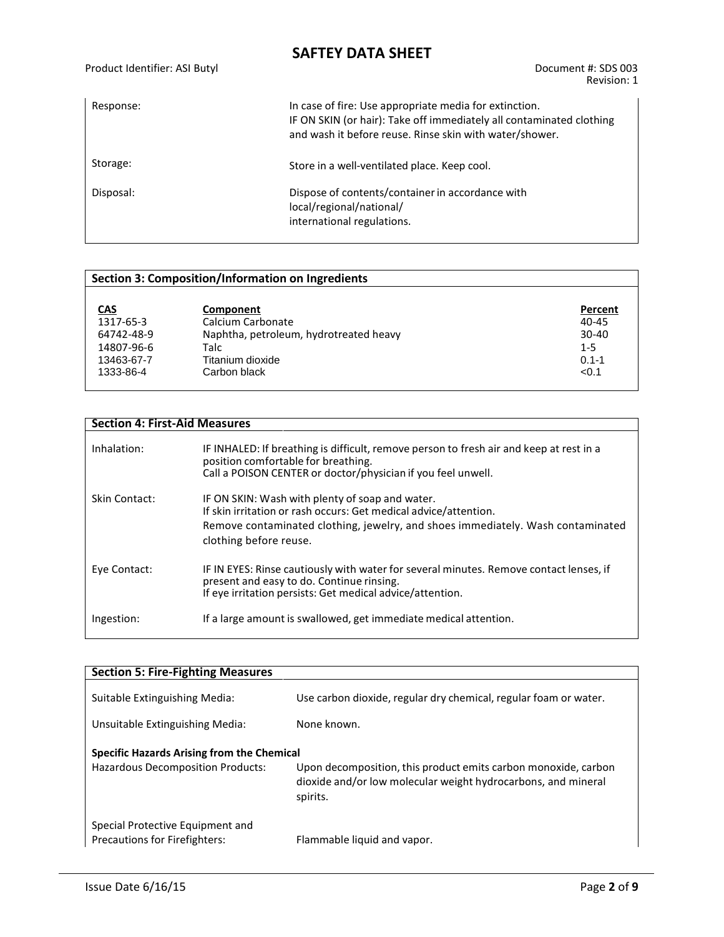Product Identifier: ASI Butyl Document #: SDS 003

Revision: 1

| Response: | In case of fire: Use appropriate media for extinction.<br>IF ON SKIN (or hair): Take off immediately all contaminated clothing<br>and wash it before reuse. Rinse skin with water/shower. |
|-----------|-------------------------------------------------------------------------------------------------------------------------------------------------------------------------------------------|
| Storage:  | Store in a well-ventilated place. Keep cool.                                                                                                                                              |
| Disposal: | Dispose of contents/container in accordance with<br>local/regional/national/<br>international regulations.                                                                                |

### **Section 3: Composition/Information on Ingredients**

| <b>CAS</b> | Component                              | Percent   |
|------------|----------------------------------------|-----------|
| 1317-65-3  | Calcium Carbonate                      | $40 - 45$ |
| 64742-48-9 | Naphtha, petroleum, hydrotreated heavy | $30-40$   |
| 14807-96-6 | Talc                                   | $1 - 5$   |
| 13463-67-7 | Titanium dioxide                       | $0.1 - 1$ |
| 1333-86-4  | Carbon black                           | < 0.1     |

| <b>Section 4: First-Aid Measures</b> |                                                                                                                                                                                                                                  |
|--------------------------------------|----------------------------------------------------------------------------------------------------------------------------------------------------------------------------------------------------------------------------------|
| Inhalation:                          | IF INHALED: If breathing is difficult, remove person to fresh air and keep at rest in a<br>position comfortable for breathing.<br>Call a POISON CENTER or doctor/physician if you feel unwell.                                   |
| Skin Contact:                        | IF ON SKIN: Wash with plenty of soap and water.<br>If skin irritation or rash occurs: Get medical advice/attention.<br>Remove contaminated clothing, jewelry, and shoes immediately. Wash contaminated<br>clothing before reuse. |
| Eye Contact:                         | IF IN EYES: Rinse cautiously with water for several minutes. Remove contact lenses, if<br>present and easy to do. Continue rinsing.<br>If eye irritation persists: Get medical advice/attention.                                 |
| Ingestion:                           | If a large amount is swallowed, get immediate medical attention.                                                                                                                                                                 |

| <b>Section 5: Fire-Fighting Measures</b>                                               |                                                                                                                                             |
|----------------------------------------------------------------------------------------|---------------------------------------------------------------------------------------------------------------------------------------------|
| Suitable Extinguishing Media:<br>Unsuitable Extinguishing Media:                       | Use carbon dioxide, regular dry chemical, regular foam or water.<br>None known.                                                             |
| Specific Hazards Arising from the Chemical<br><b>Hazardous Decomposition Products:</b> | Upon decomposition, this product emits carbon monoxide, carbon<br>dioxide and/or low molecular weight hydrocarbons, and mineral<br>spirits. |
| Special Protective Equipment and<br>Precautions for Firefighters:                      | Flammable liquid and vapor.                                                                                                                 |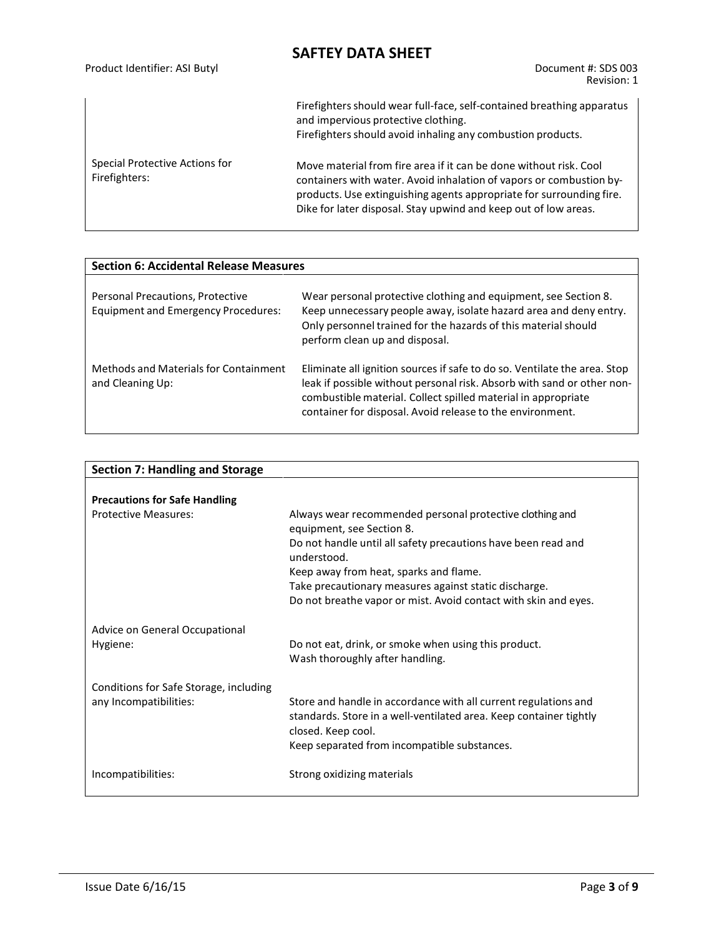| Product Identifier: ASI Butyl                   | Document #: SDS 003<br>Revision: 1                                                                                                                                                                                                                                                  |
|-------------------------------------------------|-------------------------------------------------------------------------------------------------------------------------------------------------------------------------------------------------------------------------------------------------------------------------------------|
|                                                 | Firefighters should wear full-face, self-contained breathing apparatus<br>and impervious protective clothing.<br>Firefighters should avoid inhaling any combustion products.                                                                                                        |
| Special Protective Actions for<br>Firefighters: | Move material from fire area if it can be done without risk. Cool<br>containers with water. Avoid inhalation of vapors or combustion by-<br>products. Use extinguishing agents appropriate for surrounding fire.<br>Dike for later disposal. Stay upwind and keep out of low areas. |

| <b>Section 6: Accidental Release Measures</b>                                  |                                                                                                                                                                                                                                                                                   |  |  |
|--------------------------------------------------------------------------------|-----------------------------------------------------------------------------------------------------------------------------------------------------------------------------------------------------------------------------------------------------------------------------------|--|--|
| Personal Precautions, Protective<br><b>Equipment and Emergency Procedures:</b> | Wear personal protective clothing and equipment, see Section 8.<br>Keep unnecessary people away, isolate hazard area and deny entry.<br>Only personnel trained for the hazards of this material should<br>perform clean up and disposal.                                          |  |  |
| Methods and Materials for Containment<br>and Cleaning Up:                      | Eliminate all ignition sources if safe to do so. Ventilate the area. Stop<br>leak if possible without personal risk. Absorb with sand or other non-<br>combustible material. Collect spilled material in appropriate<br>container for disposal. Avoid release to the environment. |  |  |

| <b>Section 7: Handling and Storage</b> |                                                                                                                                                             |
|----------------------------------------|-------------------------------------------------------------------------------------------------------------------------------------------------------------|
|                                        |                                                                                                                                                             |
| <b>Precautions for Safe Handling</b>   |                                                                                                                                                             |
| <b>Protective Measures:</b>            | Always wear recommended personal protective clothing and<br>equipment, see Section 8.                                                                       |
|                                        | Do not handle until all safety precautions have been read and<br>understood.                                                                                |
|                                        | Keep away from heat, sparks and flame.                                                                                                                      |
|                                        | Take precautionary measures against static discharge.                                                                                                       |
|                                        | Do not breathe vapor or mist. Avoid contact with skin and eyes.                                                                                             |
| Advice on General Occupational         |                                                                                                                                                             |
| Hygiene:                               | Do not eat, drink, or smoke when using this product.<br>Wash thoroughly after handling.                                                                     |
| Conditions for Safe Storage, including |                                                                                                                                                             |
| any Incompatibilities:                 | Store and handle in accordance with all current regulations and<br>standards. Store in a well-ventilated area. Keep container tightly<br>closed. Keep cool. |
|                                        | Keep separated from incompatible substances.                                                                                                                |
| Incompatibilities:                     | Strong oxidizing materials                                                                                                                                  |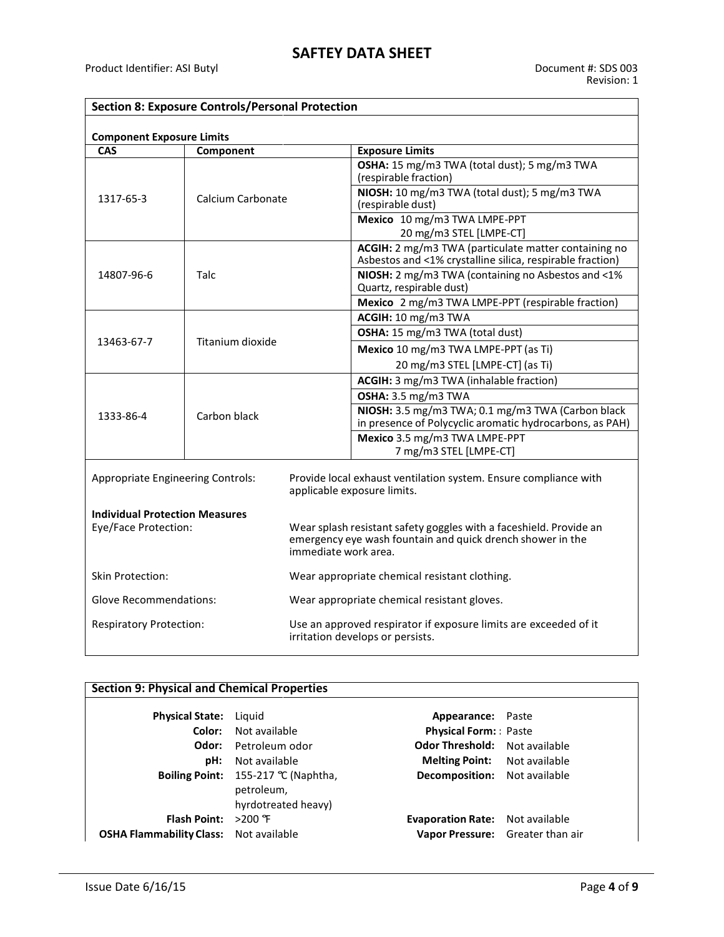### **Section 8: Exposure Controls/Personal Protection**

| <b>Component Exposure Limits</b>         |                   |  |                                                                                                                                                          |  |  |
|------------------------------------------|-------------------|--|----------------------------------------------------------------------------------------------------------------------------------------------------------|--|--|
| <b>CAS</b>                               | Component         |  | <b>Exposure Limits</b>                                                                                                                                   |  |  |
|                                          | Calcium Carbonate |  | OSHA: 15 mg/m3 TWA (total dust); 5 mg/m3 TWA<br>(respirable fraction)                                                                                    |  |  |
| 1317-65-3                                |                   |  | NIOSH: 10 mg/m3 TWA (total dust); 5 mg/m3 TWA<br>(respirable dust)                                                                                       |  |  |
|                                          |                   |  | Mexico 10 mg/m3 TWA LMPE-PPT<br>20 mg/m3 STEL [LMPE-CT]                                                                                                  |  |  |
|                                          |                   |  | ACGIH: 2 mg/m3 TWA (particulate matter containing no<br>Asbestos and <1% crystalline silica, respirable fraction)                                        |  |  |
| 14807-96-6                               | Talc              |  | NIOSH: 2 mg/m3 TWA (containing no Asbestos and <1%<br>Quartz, respirable dust)                                                                           |  |  |
|                                          |                   |  | Mexico 2 mg/m3 TWA LMPE-PPT (respirable fraction)                                                                                                        |  |  |
|                                          |                   |  | ACGIH: 10 mg/m3 TWA                                                                                                                                      |  |  |
|                                          |                   |  | OSHA: 15 mg/m3 TWA (total dust)                                                                                                                          |  |  |
| 13463-67-7                               | Titanium dioxide  |  | Mexico 10 mg/m3 TWA LMPE-PPT (as Ti)                                                                                                                     |  |  |
|                                          |                   |  | 20 mg/m3 STEL [LMPE-CT] (as Ti)                                                                                                                          |  |  |
|                                          |                   |  | ACGIH: 3 mg/m3 TWA (inhalable fraction)                                                                                                                  |  |  |
|                                          | Carbon black      |  | OSHA: 3.5 mg/m3 TWA                                                                                                                                      |  |  |
| 1333-86-4                                |                   |  | NIOSH: 3.5 mg/m3 TWA; 0.1 mg/m3 TWA (Carbon black<br>in presence of Polycyclic aromatic hydrocarbons, as PAH)                                            |  |  |
|                                          |                   |  | Mexico 3.5 mg/m3 TWA LMPE-PPT                                                                                                                            |  |  |
|                                          |                   |  | 7 mg/m3 STEL [LMPE-CT]                                                                                                                                   |  |  |
| <b>Appropriate Engineering Controls:</b> |                   |  | Provide local exhaust ventilation system. Ensure compliance with<br>applicable exposure limits.                                                          |  |  |
| <b>Individual Protection Measures</b>    |                   |  |                                                                                                                                                          |  |  |
| Eye/Face Protection:                     |                   |  | Wear splash resistant safety goggles with a faceshield. Provide an<br>emergency eye wash fountain and quick drench shower in the<br>immediate work area. |  |  |
| Skin Protection:                         |                   |  | Wear appropriate chemical resistant clothing.                                                                                                            |  |  |
| <b>Glove Recommendations:</b>            |                   |  | Wear appropriate chemical resistant gloves.                                                                                                              |  |  |
| <b>Respiratory Protection:</b>           |                   |  | Use an approved respirator if exposure limits are exceeded of it<br>irritation develops or persists.                                                     |  |  |

| <b>Section 9: Physical and Chemical Properties</b> |                                                                            |                                        |  |
|----------------------------------------------------|----------------------------------------------------------------------------|----------------------------------------|--|
| <b>Physical State:</b> Liquid                      |                                                                            | Appearance: Paste                      |  |
| Color:                                             | Not available                                                              | <b>Physical Form:</b> Paste            |  |
| Odor:                                              | Petroleum odor                                                             | <b>Odor Threshold:</b> Not available   |  |
| pH:                                                | Not available                                                              | <b>Melting Point:</b> Not available    |  |
|                                                    | Boiling Point: $155-217$ °C (Naphtha,<br>petroleum,<br>hyrdotreated heavy) | <b>Decomposition:</b> Not available    |  |
| <b>Flash Point:</b> $>200$ F                       |                                                                            | <b>Evaporation Rate:</b> Not available |  |
| <b>OSHA Flammability Class:</b> Not available      |                                                                            | Vapor Pressure: Greater than air       |  |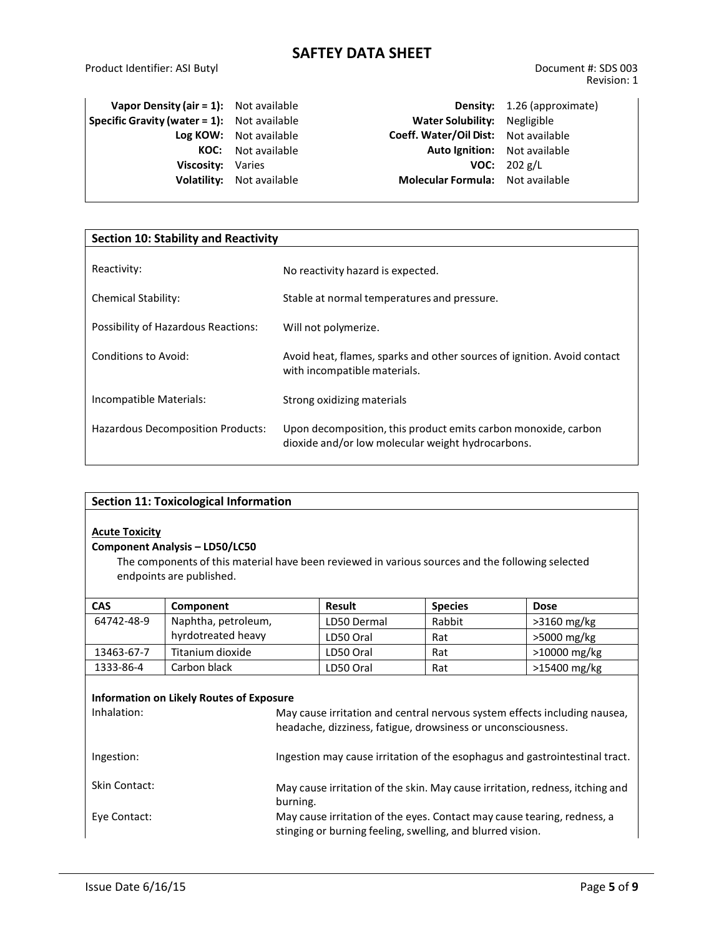| <b>Vapor Density (air = 1):</b> Not available      |                                  |                                      | <b>Density:</b> 1.26 (approximate) |
|----------------------------------------------------|----------------------------------|--------------------------------------|------------------------------------|
| <b>Specific Gravity (water = 1):</b> Not available |                                  | Water Solubility: Negligible         |                                    |
|                                                    | Log KOW: Not available           | Coeff. Water/Oil Dist: Not available |                                    |
|                                                    | <b>KOC:</b> Not available        | Auto Ignition: Not available         |                                    |
| Viscosity: Varies                                  |                                  |                                      | <b>VOC:</b> $202 g/L$              |
|                                                    | <b>Volatility:</b> Not available | Molecular Formula: Not available     |                                    |
|                                                    |                                  |                                      |                                    |

| <b>Section 10: Stability and Reactivity</b> |                                                                                                                     |  |  |
|---------------------------------------------|---------------------------------------------------------------------------------------------------------------------|--|--|
| Reactivity:                                 | No reactivity hazard is expected.                                                                                   |  |  |
|                                             |                                                                                                                     |  |  |
| <b>Chemical Stability:</b>                  | Stable at normal temperatures and pressure.                                                                         |  |  |
| Possibility of Hazardous Reactions:         | Will not polymerize.                                                                                                |  |  |
| Conditions to Avoid:                        | Avoid heat, flames, sparks and other sources of ignition. Avoid contact<br>with incompatible materials.             |  |  |
| Incompatible Materials:                     | Strong oxidizing materials                                                                                          |  |  |
| Hazardous Decomposition Products:           | Upon decomposition, this product emits carbon monoxide, carbon<br>dioxide and/or low molecular weight hydrocarbons. |  |  |

| <b>Section 11: Toxicological Information</b>                                                                                                                                                   |                                                                                                                                       |  |             |                |              |
|------------------------------------------------------------------------------------------------------------------------------------------------------------------------------------------------|---------------------------------------------------------------------------------------------------------------------------------------|--|-------------|----------------|--------------|
| <b>Acute Toxicity</b><br><b>Component Analysis - LD50/LC50</b><br>The components of this material have been reviewed in various sources and the following selected<br>endpoints are published. |                                                                                                                                       |  |             |                |              |
| <b>CAS</b>                                                                                                                                                                                     | Component                                                                                                                             |  | Result      | <b>Species</b> | <b>Dose</b>  |
| 64742-48-9                                                                                                                                                                                     | Naphtha, petroleum,                                                                                                                   |  | LD50 Dermal | Rabbit         | >3160 mg/kg  |
|                                                                                                                                                                                                | hyrdotreated heavy                                                                                                                    |  | LD50 Oral   | Rat            | >5000 mg/kg  |
| 13463-67-7                                                                                                                                                                                     | Titanium dioxide                                                                                                                      |  | LD50 Oral   | Rat            | >10000 mg/kg |
| 1333-86-4                                                                                                                                                                                      | Carbon black                                                                                                                          |  | LD50 Oral   | Rat            | >15400 mg/kg |
| <b>Information on Likely Routes of Exposure</b><br>Inhalation:<br>May cause irritation and central nervous system effects including nausea,                                                    |                                                                                                                                       |  |             |                |              |
|                                                                                                                                                                                                | headache, dizziness, fatigue, drowsiness or unconsciousness.                                                                          |  |             |                |              |
| Ingestion:                                                                                                                                                                                     | Ingestion may cause irritation of the esophagus and gastrointestinal tract.                                                           |  |             |                |              |
| <b>Skin Contact:</b>                                                                                                                                                                           | May cause irritation of the skin. May cause irritation, redness, itching and<br>burning.                                              |  |             |                |              |
| Eye Contact:                                                                                                                                                                                   | May cause irritation of the eyes. Contact may cause tearing, redness, a<br>stinging or burning feeling, swelling, and blurred vision. |  |             |                |              |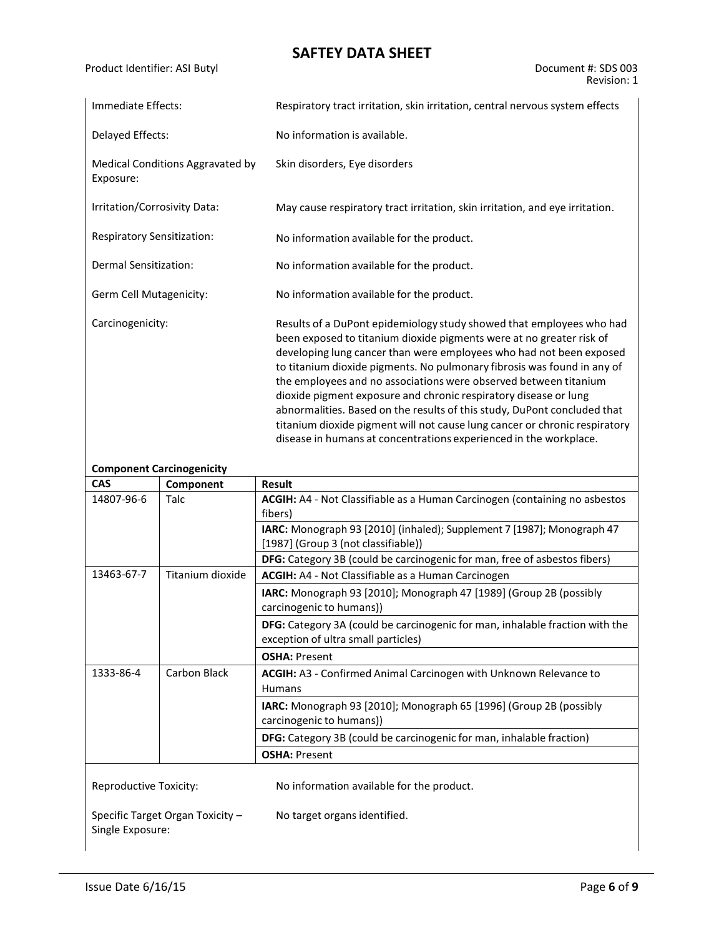Product Identifier: ASI Butyl Document #: SDS 003

| Immediate Effects:                            | Respiratory tract irritation, skin irritation, central nervous system effects                                                                                                                                                                                                                                                                                                                                                                                                                                                                                                                    |
|-----------------------------------------------|--------------------------------------------------------------------------------------------------------------------------------------------------------------------------------------------------------------------------------------------------------------------------------------------------------------------------------------------------------------------------------------------------------------------------------------------------------------------------------------------------------------------------------------------------------------------------------------------------|
| Delayed Effects:                              | No information is available.                                                                                                                                                                                                                                                                                                                                                                                                                                                                                                                                                                     |
| Medical Conditions Aggravated by<br>Exposure: | Skin disorders, Eye disorders                                                                                                                                                                                                                                                                                                                                                                                                                                                                                                                                                                    |
| Irritation/Corrosivity Data:                  | May cause respiratory tract irritation, skin irritation, and eye irritation.                                                                                                                                                                                                                                                                                                                                                                                                                                                                                                                     |
| <b>Respiratory Sensitization:</b>             | No information available for the product.                                                                                                                                                                                                                                                                                                                                                                                                                                                                                                                                                        |
| Dermal Sensitization:                         | No information available for the product.                                                                                                                                                                                                                                                                                                                                                                                                                                                                                                                                                        |
| Germ Cell Mutagenicity:                       | No information available for the product.                                                                                                                                                                                                                                                                                                                                                                                                                                                                                                                                                        |
| Carcinogenicity:                              | Results of a DuPont epidemiology study showed that employees who had<br>been exposed to titanium dioxide pigments were at no greater risk of<br>developing lung cancer than were employees who had not been exposed<br>to titanium dioxide pigments. No pulmonary fibrosis was found in any of<br>the employees and no associations were observed between titanium<br>dioxide pigment exposure and chronic respiratory disease or lung<br>abnormalities. Based on the results of this study, DuPont concluded that<br>titanium dioxide pigment will not cause lung cancer or chronic respiratory |

disease in humans at concentrations experienced in the workplace.

|                        | <b>Component Carcinogenicity</b> |                                                                                                                     |
|------------------------|----------------------------------|---------------------------------------------------------------------------------------------------------------------|
| <b>CAS</b>             | Component                        | Result                                                                                                              |
| 14807-96-6             | Talc                             | ACGIH: A4 - Not Classifiable as a Human Carcinogen (containing no asbestos<br>fibers)                               |
|                        |                                  | IARC: Monograph 93 [2010] (inhaled); Supplement 7 [1987]; Monograph 47<br>[1987] (Group 3 (not classifiable))       |
|                        |                                  | DFG: Category 3B (could be carcinogenic for man, free of asbestos fibers)                                           |
| 13463-67-7             | Titanium dioxide                 | ACGIH: A4 - Not Classifiable as a Human Carcinogen                                                                  |
|                        |                                  | IARC: Monograph 93 [2010]; Monograph 47 [1989] (Group 2B (possibly<br>carcinogenic to humans))                      |
|                        |                                  | DFG: Category 3A (could be carcinogenic for man, inhalable fraction with the<br>exception of ultra small particles) |
|                        |                                  | <b>OSHA: Present</b>                                                                                                |
| 1333-86-4              | Carbon Black                     | ACGIH: A3 - Confirmed Animal Carcinogen with Unknown Relevance to<br><b>Humans</b>                                  |
|                        |                                  | <b>IARC:</b> Monograph 93 [2010]; Monograph 65 [1996] (Group 2B (possibly<br>carcinogenic to humans))               |
|                        |                                  | DFG: Category 3B (could be carcinogenic for man, inhalable fraction)                                                |
|                        |                                  | <b>OSHA: Present</b>                                                                                                |
| Reproductive Toxicity: |                                  | No information available for the product.                                                                           |
| Single Exposure:       | Specific Target Organ Toxicity - | No target organs identified.                                                                                        |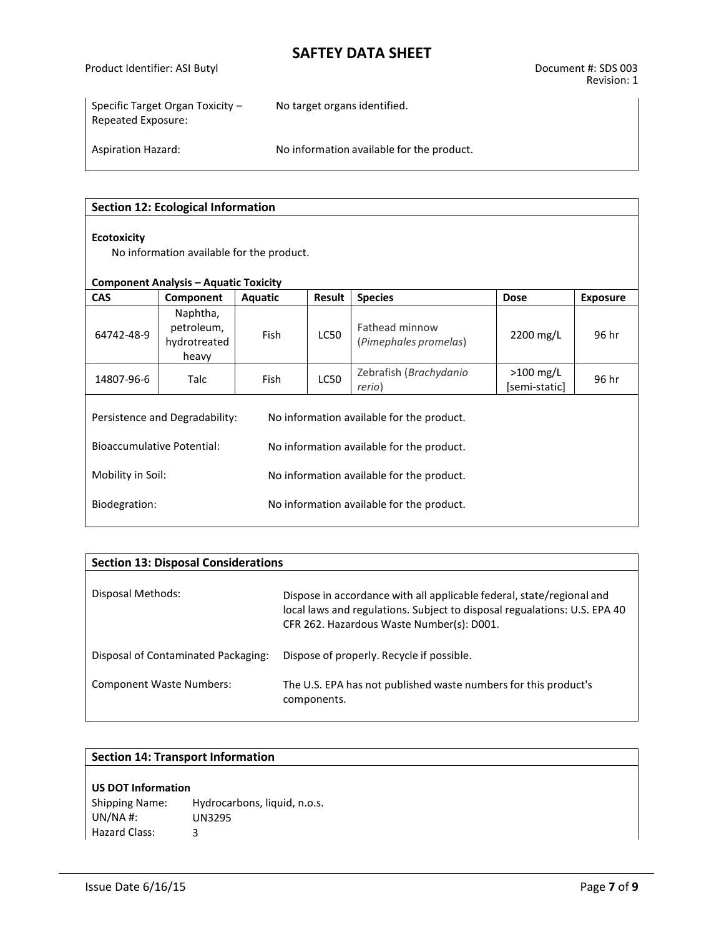Product Identifier: ASI Butyl Document #: SDS 003

Specific Target Organ Toxicity – Repeated Exposure:

No target organs identified.

Aspiration Hazard: No information available for the product.

#### **Section 12: Ecological Information**

#### **Ecotoxicity**

No information available for the product.

#### **Component Analysis – Aquatic Toxicity**

| <b>CAS</b>                        | Component                                                                   | Aquatic | Result                                    | <b>Species</b>                            | <b>Dose</b>                  | <b>Exposure</b> |
|-----------------------------------|-----------------------------------------------------------------------------|---------|-------------------------------------------|-------------------------------------------|------------------------------|-----------------|
| 64742-48-9                        | Naphtha,<br>petroleum,<br>hydrotreated<br>heavy                             | Fish    | <b>LC50</b>                               | Fathead minnow<br>(Pimephales promelas)   | 2200 mg/L                    | 96 hr           |
| 14807-96-6                        | Talc                                                                        | Fish    | <b>LC50</b>                               | Zebrafish (Brachydanio<br>rerio)          | $>100$ mg/L<br>[semi-static] | 96 hr           |
|                                   | Persistence and Degradability:<br>No information available for the product. |         |                                           |                                           |                              |                 |
| <b>Bioaccumulative Potential:</b> |                                                                             |         |                                           | No information available for the product. |                              |                 |
| Mobility in Soil:                 |                                                                             |         | No information available for the product. |                                           |                              |                 |
| Biodegration:                     |                                                                             |         |                                           | No information available for the product. |                              |                 |

| <b>Section 13: Disposal Considerations</b> |                                                                                                                                                                                                 |
|--------------------------------------------|-------------------------------------------------------------------------------------------------------------------------------------------------------------------------------------------------|
| Disposal Methods:                          | Dispose in accordance with all applicable federal, state/regional and<br>local laws and regulations. Subject to disposal regualations: U.S. EPA 40<br>CFR 262. Hazardous Waste Number(s): D001. |
| Disposal of Contaminated Packaging:        | Dispose of properly. Recycle if possible.                                                                                                                                                       |
| <b>Component Waste Numbers:</b>            | The U.S. EPA has not published waste numbers for this product's<br>components.                                                                                                                  |

#### **Section 14: Transport Information**

#### **US DOT Information**

Shipping Name: Hydrocarbons, liquid, n.o.s. UN/NA #: UN3295 Hazard Class: 3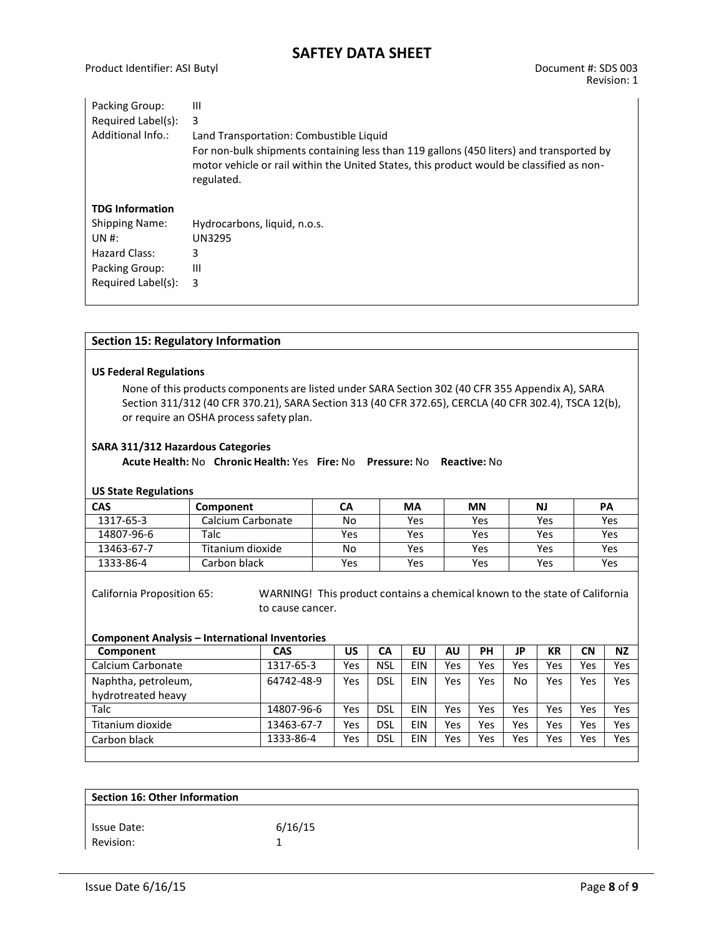| Packing Group:         | Ш                                                                                                                                                                                                 |
|------------------------|---------------------------------------------------------------------------------------------------------------------------------------------------------------------------------------------------|
| Required Label(s):     | 3                                                                                                                                                                                                 |
| Additional Info.:      | Land Transportation: Combustible Liquid                                                                                                                                                           |
|                        | For non-bulk shipments containing less than 119 gallons (450 liters) and transported by<br>motor vehicle or rail within the United States, this product would be classified as non-<br>regulated. |
| <b>TDG Information</b> |                                                                                                                                                                                                   |
| <b>Shipping Name:</b>  | Hydrocarbons, liquid, n.o.s.                                                                                                                                                                      |
| UN #:                  | <b>UN3295</b>                                                                                                                                                                                     |
| Hazard Class:          | 3                                                                                                                                                                                                 |
| Packing Group:         | Ш                                                                                                                                                                                                 |
| Required Label(s):     | 3                                                                                                                                                                                                 |

#### **Section 15: Regulatory Information**

#### **US Federal Regulations**

None of this products components are listed under SARA Section 302 (40 CFR 355 Appendix A), SARA Section 311/312 (40 CFR 370.21), SARA Section 313 (40 CFR 372.65), CERCLA (40 CFR 302.4), TSCA 12(b), or require an OSHA process safety plan.

#### **SARA 311/312 Hazardous Categories**

**Acute Health:** No **Chronic Health:** Yes **Fire:** No **Pressure:** No **Reactive:** No

#### **US State Regulations**

| . .        |                   |     |     |           |            |     |
|------------|-------------------|-----|-----|-----------|------------|-----|
| <b>CAS</b> | Component         | CА  | MA  | <b>MN</b> | NJ         | PA  |
| 1317-65-3  | Calcium Carbonate | No  | Yes | Yes       | <b>Yes</b> | Yes |
| 14807-96-6 | Talc              | Yes | Yes | Yes       | Yes        | Yes |
| 13463-67-7 | Titanium dioxide  | No  | Yes | Yes       | <b>Yes</b> | Yes |
| 1333-86-4  | Carbon black      | Yes | Yes | Yes       | Yes        | Yes |

California Proposition 65: WARNING! This product contains a chemical known to the state of California to cause cancer.

#### **Component Analysis – International Inventories**

| Component           | <b>CAS</b> | US  | СA         | EU         | AU  | PH  | JP  | KR  | <b>CN</b> | <b>NZ</b> |
|---------------------|------------|-----|------------|------------|-----|-----|-----|-----|-----------|-----------|
| Calcium Carbonate   | 1317-65-3  | Yes | NSL        | <b>EIN</b> | Yes | Yes | Yes | Yes | Yes       | Yes       |
| Naphtha, petroleum, | 64742-48-9 | Yes | DSL        | EIN        | Yes | Yes | No  | Yes | Yes       | Yes       |
| hydrotreated heavy  |            |     |            |            |     |     |     |     |           |           |
| Talc                | 14807-96-6 | Yes | <b>DSL</b> | EIN        | Yes | Yes | Yes | Yes | Yes       | Yes       |
| Titanium dioxide    | 13463-67-7 | Yes | <b>DSL</b> | EIN        | Yes | Yes | Yes | Yes | Yes       | Yes       |
| Carbon black        | 1333-86-4  | Yes | <b>DSL</b> | EIN        | Yes | Yes | Yes | Yes | Yes       | Yes       |
|                     |            |     |            |            |     |     |     |     |           |           |

| 6/16/15 |
|---------|